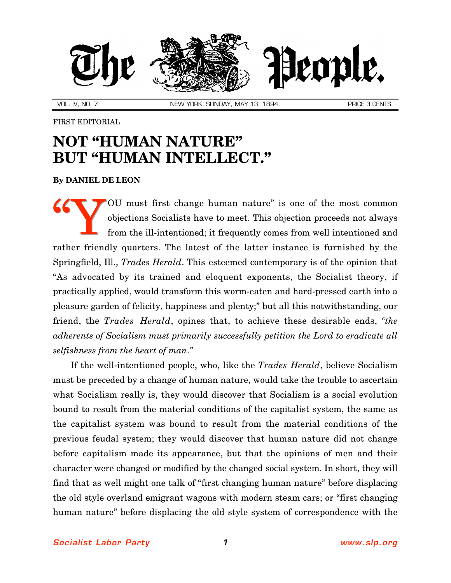

VOL. IV, NO. 7. NEW YORK, SUNDAY, MAY 13, 1894. NEW PRICE 3 CENTS.

FIRST EDITORIAL

## **NOT "HUMAN NATURE" BUT "HUMAN INTELLECT."**

**By [DANIEL DE LEON](http://slp.org/De_Leon.htm)**

OU must first change human nature" is one of the most common objections Socialists have to meet. This objection proceeds not always from the ill-intentioned; it frequently comes from well intentioned and rather friendly quarters. The latest of the latter instance is furnished by the Springfield, Ill., *Trades Herald*. This esteemed contemporary is of the opinion that "As advocated by its trained and eloquent exponents, the Socialist theory, if practically applied, would transform this worm-eaten and hard-pressed earth into a pleasure garden of felicity, happiness and plenty;" but all this notwithstanding, our friend, the *Trades Herald*, opines that, to achieve these desirable ends, *"the adherents of Socialism must primarily successfully petition the Lord to eradicate all selfishness from the heart of man*.*"* "Y

If the well-intentioned people, who, like the *Trades Herald*, believe Socialism must be preceded by a change of human nature, would take the trouble to ascertain what Socialism really is, they would discover that Socialism is a social evolution bound to result from the material conditions of the capitalist system, the same as the capitalist system was bound to result from the material conditions of the previous feudal system; they would discover that human nature did not change before capitalism made its appearance, but that the opinions of men and their character were changed or modified by the changed social system. In short, they will find that as well might one talk of "first changing human nature" before displacing the old style overland emigrant wagons with modern steam cars; or "first changing human nature" before displacing the old style system of correspondence with the